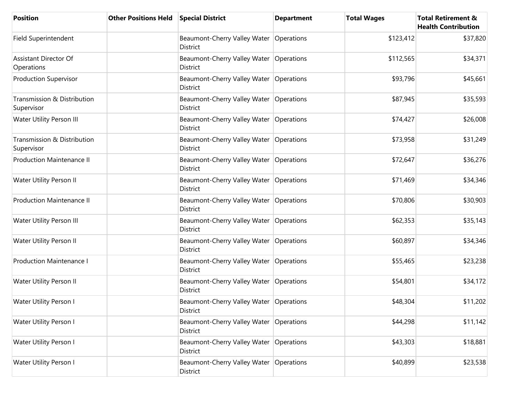| <b>Position</b>                           | <b>Other Positions Held</b> | <b>Special District</b>                                      | <b>Department</b> | <b>Total Wages</b> | <b>Total Retirement &amp;</b><br><b>Health Contribution</b> |
|-------------------------------------------|-----------------------------|--------------------------------------------------------------|-------------------|--------------------|-------------------------------------------------------------|
| Field Superintendent                      |                             | Beaumont-Cherry Valley Water   Operations<br><b>District</b> |                   | \$123,412          | \$37,820                                                    |
| Assistant Director Of<br>Operations       |                             | Beaumont-Cherry Valley Water<br><b>District</b>              | Operations        | \$112,565          | \$34,371                                                    |
| <b>Production Supervisor</b>              |                             | Beaumont-Cherry Valley Water<br>District                     | Operations        | \$93,796           | \$45,661                                                    |
| Transmission & Distribution<br>Supervisor |                             | Beaumont-Cherry Valley Water<br>District                     | Operations        | \$87,945           | \$35,593                                                    |
| Water Utility Person III                  |                             | Beaumont-Cherry Valley Water<br><b>District</b>              | Operations        | \$74,427           | \$26,008                                                    |
| Transmission & Distribution<br>Supervisor |                             | Beaumont-Cherry Valley Water<br><b>District</b>              | Operations        | \$73,958           | \$31,249                                                    |
| <b>Production Maintenance II</b>          |                             | Beaumont-Cherry Valley Water<br><b>District</b>              | Operations        | \$72,647           | \$36,276                                                    |
| Water Utility Person II                   |                             | Beaumont-Cherry Valley Water<br>District                     | Operations        | \$71,469           | \$34,346                                                    |
| <b>Production Maintenance II</b>          |                             | Beaumont-Cherry Valley Water<br>District                     | Operations        | \$70,806           | \$30,903                                                    |
| Water Utility Person III                  |                             | Beaumont-Cherry Valley Water<br>District                     | Operations        | \$62,353           | \$35,143                                                    |
| Water Utility Person II                   |                             | Beaumont-Cherry Valley Water<br><b>District</b>              | Operations        | \$60,897           | \$34,346                                                    |
| <b>Production Maintenance I</b>           |                             | Beaumont-Cherry Valley Water<br><b>District</b>              | Operations        | \$55,465           | \$23,238                                                    |
| Water Utility Person II                   |                             | Beaumont-Cherry Valley Water<br><b>District</b>              | Operations        | \$54,801           | \$34,172                                                    |
| Water Utility Person I                    |                             | Beaumont-Cherry Valley Water Operations<br>District          |                   | \$48,304           | \$11,202                                                    |
| Water Utility Person I                    |                             | Beaumont-Cherry Valley Water   Operations<br>District        |                   | \$44,298           | \$11,142                                                    |
| Water Utility Person I                    |                             | Beaumont-Cherry Valley Water<br><b>District</b>              | Operations        | \$43,303           | \$18,881                                                    |
| Water Utility Person I                    |                             | Beaumont-Cherry Valley Water<br>District                     | Operations        | \$40,899           | \$23,538                                                    |